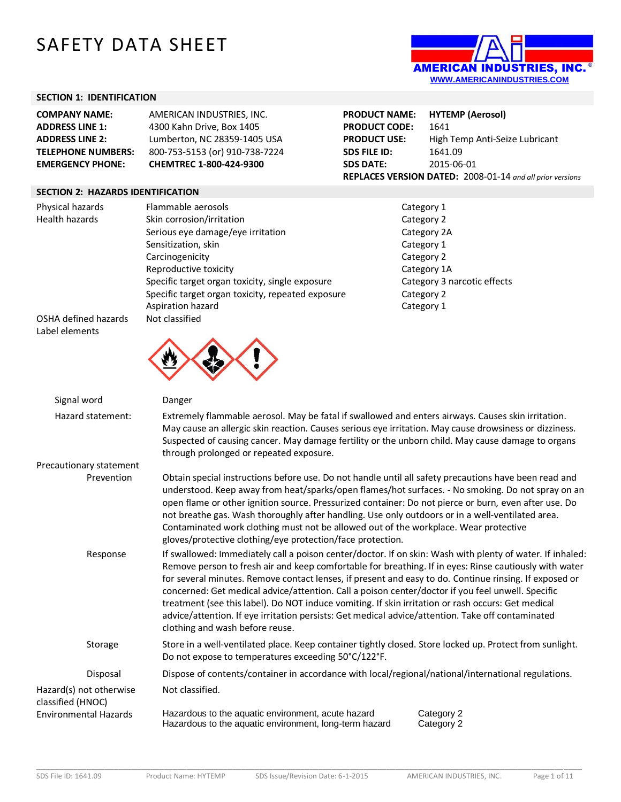# SAFETY DATA SHEET



# **SECTION 1: IDENTIFICATION**

| <b>COMPANY NAME:</b>      | AMERICAN INDUSTRIES, INC.      |
|---------------------------|--------------------------------|
| <b>ADDRESS LINE 1:</b>    | 4300 Kahn Drive, Box 1405      |
| <b>ADDRESS LINE 2:</b>    | Lumberton, NC 28359-1405 USA   |
| <b>TELEPHONE NUMBERS:</b> | 800-753-5153 (or) 910-738-7224 |
| <b>EMERGENCY PHONE:</b>   | CHEMTREC 1-800-424-9300        |

#### **SECTION 2: HAZARDS IDENTIFICATION**

Physical hazards Flammable aerosols **Flammable aerosols** Category 1 Health hazards Skin corrosion/irritation Category 2 Category 2 Serious eye damage/eye irritation example of the Category 2A Sensitization, skin Category 1 Carcinogenicity **Category 2** Reproductive toxicity and the contract of the Category 1A Specific target organ toxicity, single exposure Category 3 narcotic effects Specific target organ toxicity, repeated exposure Category 2 Aspiration hazard **Category 1** Category 1



**PRODUCT NAME: HYTEMP (Aerosol) PRODUCT CODE:** 1641 **PRODUCT USE:** High Temp Anti-Seize Lubricant **SDS FILE ID:** 1641.09 **SDS DATE:** 2015-06-01 **REPLACES VERSION DATED:** 2008-01-14 *and all prior versions*

OSHA defined hazards Not classified Label elements

| Signal word                                  | Danger                                                                                                                                                                                                                                                                                                                                                                                                                                                                                                                                                                                                                                                                           |  |  |  |
|----------------------------------------------|----------------------------------------------------------------------------------------------------------------------------------------------------------------------------------------------------------------------------------------------------------------------------------------------------------------------------------------------------------------------------------------------------------------------------------------------------------------------------------------------------------------------------------------------------------------------------------------------------------------------------------------------------------------------------------|--|--|--|
| Hazard statement:                            | Extremely flammable aerosol. May be fatal if swallowed and enters airways. Causes skin irritation.<br>May cause an allergic skin reaction. Causes serious eye irritation. May cause drowsiness or dizziness.<br>Suspected of causing cancer. May damage fertility or the unborn child. May cause damage to organs<br>through prolonged or repeated exposure.                                                                                                                                                                                                                                                                                                                     |  |  |  |
| Precautionary statement                      |                                                                                                                                                                                                                                                                                                                                                                                                                                                                                                                                                                                                                                                                                  |  |  |  |
| Prevention                                   | Obtain special instructions before use. Do not handle until all safety precautions have been read and<br>understood. Keep away from heat/sparks/open flames/hot surfaces. - No smoking. Do not spray on an<br>open flame or other ignition source. Pressurized container: Do not pierce or burn, even after use. Do<br>not breathe gas. Wash thoroughly after handling. Use only outdoors or in a well-ventilated area.<br>Contaminated work clothing must not be allowed out of the workplace. Wear protective<br>gloves/protective clothing/eye protection/face protection.                                                                                                    |  |  |  |
| Response                                     | If swallowed: Immediately call a poison center/doctor. If on skin: Wash with plenty of water. If inhaled:<br>Remove person to fresh air and keep comfortable for breathing. If in eyes: Rinse cautiously with water<br>for several minutes. Remove contact lenses, if present and easy to do. Continue rinsing. If exposed or<br>concerned: Get medical advice/attention. Call a poison center/doctor if you feel unwell. Specific<br>treatment (see this label). Do NOT induce vomiting. If skin irritation or rash occurs: Get medical<br>advice/attention. If eye irritation persists: Get medical advice/attention. Take off contaminated<br>clothing and wash before reuse. |  |  |  |
| Storage                                      | Store in a well-ventilated place. Keep container tightly closed. Store locked up. Protect from sunlight.<br>Do not expose to temperatures exceeding 50°C/122°F.                                                                                                                                                                                                                                                                                                                                                                                                                                                                                                                  |  |  |  |
| Disposal                                     | Dispose of contents/container in accordance with local/regional/national/international regulations.                                                                                                                                                                                                                                                                                                                                                                                                                                                                                                                                                                              |  |  |  |
| Hazard(s) not otherwise<br>classified (HNOC) | Not classified.                                                                                                                                                                                                                                                                                                                                                                                                                                                                                                                                                                                                                                                                  |  |  |  |
| <b>Environmental Hazards</b>                 | Hazardous to the aquatic environment, acute hazard<br>Category 2<br>Hazardous to the aquatic environment, long-term hazard<br>Category 2                                                                                                                                                                                                                                                                                                                                                                                                                                                                                                                                         |  |  |  |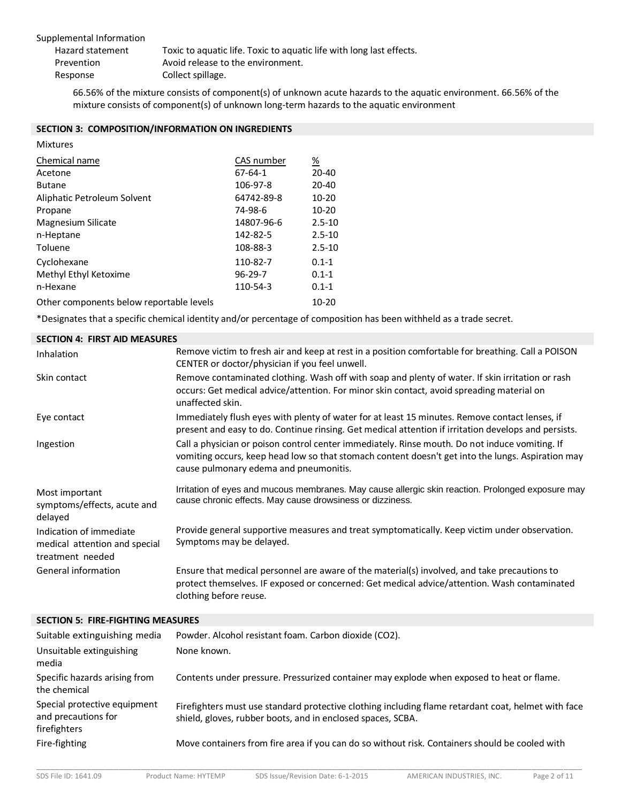| Supplemental Information |                                                                      |
|--------------------------|----------------------------------------------------------------------|
| Hazard statement         | Toxic to aquatic life. Toxic to aquatic life with long last effects. |
| Prevention               | Avoid release to the environment.                                    |
| Response                 | Collect spillage.                                                    |
|                          |                                                                      |

66.56% of the mixture consists of component(s) of unknown acute hazards to the aquatic environment. 66.56% of the mixture consists of component(s) of unknown long-term hazards to the aquatic environment

#### **SECTION 3: COMPOSITION/INFORMATION ON INGREDIENTS**

| <b>Mixtures</b>                          |               |            |
|------------------------------------------|---------------|------------|
| Chemical name                            | CAS number    | %          |
| Acetone                                  | $67 - 64 - 1$ | $20 - 40$  |
| <b>Butane</b>                            | 106-97-8      | $20 - 40$  |
| Aliphatic Petroleum Solvent              | 64742-89-8    | $10 - 20$  |
| Propane                                  | 74-98-6       | $10 - 20$  |
| Magnesium Silicate                       | 14807-96-6    | $2.5 - 10$ |
| n-Heptane                                | 142-82-5      | $2.5 - 10$ |
| Toluene                                  | 108-88-3      | $2.5 - 10$ |
| Cyclohexane                              | 110-82-7      | $0.1 - 1$  |
| Methyl Ethyl Ketoxime                    | $96 - 29 - 7$ | $0.1 - 1$  |
| n-Hexane                                 | 110-54-3      | $0.1 - 1$  |
| Other components below reportable levels |               | 10-20      |

\*Designates that a specific chemical identity and/or percentage of composition has been withheld as a trade secret.

#### **SECTION 4: FIRST AID MEASURES**

| Inhalation                                                                   | Remove victim to fresh air and keep at rest in a position comfortable for breathing. Call a POISON<br>CENTER or doctor/physician if you feel unwell.                                                                                          |
|------------------------------------------------------------------------------|-----------------------------------------------------------------------------------------------------------------------------------------------------------------------------------------------------------------------------------------------|
| Skin contact                                                                 | Remove contaminated clothing. Wash off with soap and plenty of water. If skin irritation or rash<br>occurs: Get medical advice/attention. For minor skin contact, avoid spreading material on<br>unaffected skin.                             |
| Eye contact                                                                  | Immediately flush eyes with plenty of water for at least 15 minutes. Remove contact lenses, if<br>present and easy to do. Continue rinsing. Get medical attention if irritation develops and persists.                                        |
| Ingestion                                                                    | Call a physician or poison control center immediately. Rinse mouth. Do not induce vomiting. If<br>vomiting occurs, keep head low so that stomach content doesn't get into the lungs. Aspiration may<br>cause pulmonary edema and pneumonitis. |
| Most important<br>symptoms/effects, acute and<br>delayed                     | Irritation of eyes and mucous membranes. May cause allergic skin reaction. Prolonged exposure may<br>cause chronic effects. May cause drowsiness or dizziness.                                                                                |
| Indication of immediate<br>medical attention and special<br>treatment needed | Provide general supportive measures and treat symptomatically. Keep victim under observation.<br>Symptoms may be delayed.                                                                                                                     |
| General information                                                          | Ensure that medical personnel are aware of the material(s) involved, and take precautions to<br>protect themselves. IF exposed or concerned: Get medical advice/attention. Wash contaminated<br>clothing before reuse.                        |

# **SECTION 5: FIRE-FIGHTING MEASURES**

| Suitable extinguishing media                                        | Powder. Alcohol resistant foam. Carbon dioxide (CO2).                                                                                                              |
|---------------------------------------------------------------------|--------------------------------------------------------------------------------------------------------------------------------------------------------------------|
| Unsuitable extinguishing<br>media                                   | None known.                                                                                                                                                        |
| Specific hazards arising from<br>the chemical                       | Contents under pressure. Pressurized container may explode when exposed to heat or flame.                                                                          |
| Special protective equipment<br>and precautions for<br>firefighters | Firefighters must use standard protective clothing including flame retardant coat, helmet with face<br>shield, gloves, rubber boots, and in enclosed spaces, SCBA. |
| Fire-fighting                                                       | Move containers from fire area if you can do so without risk. Containers should be cooled with                                                                     |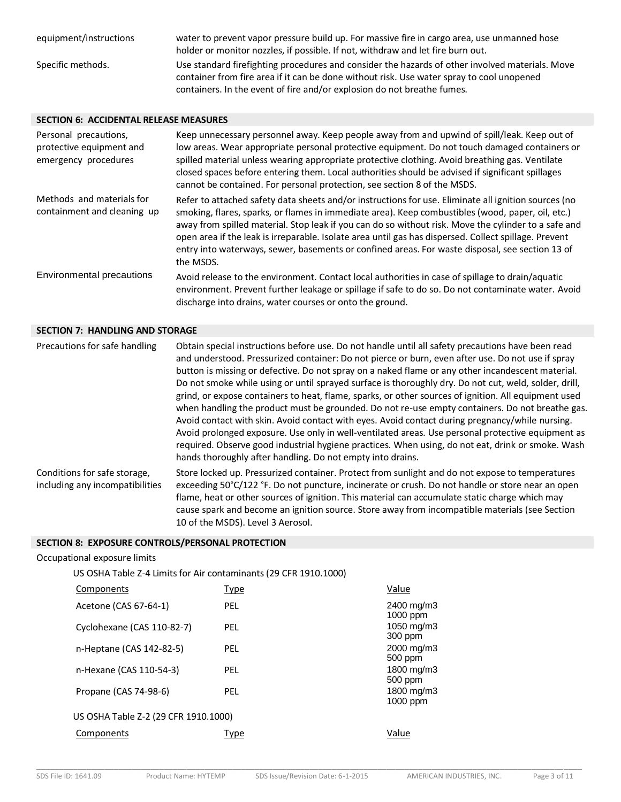| equipment/instructions | water to prevent vapor pressure build up. For massive fire in cargo area, use unmanned hose<br>holder or monitor nozzles, if possible. If not, withdraw and let fire burn out.                                                                                          |
|------------------------|-------------------------------------------------------------------------------------------------------------------------------------------------------------------------------------------------------------------------------------------------------------------------|
| Specific methods.      | Use standard firefighting procedures and consider the hazards of other involved materials. Move<br>container from fire area if it can be done without risk. Use water spray to cool unopened<br>containers. In the event of fire and/or explosion do not breathe fumes. |

# **SECTION 6: ACCIDENTAL RELEASE MEASURES**

| Personal precautions,<br>protective equipment and<br>emergency procedures | Keep unnecessary personnel away. Keep people away from and upwind of spill/leak. Keep out of<br>low areas. Wear appropriate personal protective equipment. Do not touch damaged containers or<br>spilled material unless wearing appropriate protective clothing. Avoid breathing gas. Ventilate<br>closed spaces before entering them. Local authorities should be advised if significant spillages<br>cannot be contained. For personal protection, see section 8 of the MSDS.                                                           |
|---------------------------------------------------------------------------|--------------------------------------------------------------------------------------------------------------------------------------------------------------------------------------------------------------------------------------------------------------------------------------------------------------------------------------------------------------------------------------------------------------------------------------------------------------------------------------------------------------------------------------------|
| Methods and materials for<br>containment and cleaning up                  | Refer to attached safety data sheets and/or instructions for use. Eliminate all ignition sources (no<br>smoking, flares, sparks, or flames in immediate area). Keep combustibles (wood, paper, oil, etc.)<br>away from spilled material. Stop leak if you can do so without risk. Move the cylinder to a safe and<br>open area if the leak is irreparable. Isolate area until gas has dispersed. Collect spillage. Prevent<br>entry into waterways, sewer, basements or confined areas. For waste disposal, see section 13 of<br>the MSDS. |
| Environmental precautions                                                 | Avoid release to the environment. Contact local authorities in case of spillage to drain/aquatic<br>environment. Prevent further leakage or spillage if safe to do so. Do not contaminate water. Avoid<br>discharge into drains, water courses or onto the ground.                                                                                                                                                                                                                                                                         |

#### **SECTION 7: HANDLING AND STORAGE**

| Precautions for safe handling                                   | Obtain special instructions before use. Do not handle until all safety precautions have been read<br>and understood. Pressurized container: Do not pierce or burn, even after use. Do not use if spray<br>button is missing or defective. Do not spray on a naked flame or any other incandescent material.<br>Do not smoke while using or until sprayed surface is thoroughly dry. Do not cut, weld, solder, drill,<br>grind, or expose containers to heat, flame, sparks, or other sources of ignition. All equipment used<br>when handling the product must be grounded. Do not re-use empty containers. Do not breathe gas.<br>Avoid contact with skin. Avoid contact with eyes. Avoid contact during pregnancy/while nursing.<br>Avoid prolonged exposure. Use only in well-ventilated areas. Use personal protective equipment as<br>required. Observe good industrial hygiene practices. When using, do not eat, drink or smoke. Wash<br>hands thoroughly after handling. Do not empty into drains. |
|-----------------------------------------------------------------|------------------------------------------------------------------------------------------------------------------------------------------------------------------------------------------------------------------------------------------------------------------------------------------------------------------------------------------------------------------------------------------------------------------------------------------------------------------------------------------------------------------------------------------------------------------------------------------------------------------------------------------------------------------------------------------------------------------------------------------------------------------------------------------------------------------------------------------------------------------------------------------------------------------------------------------------------------------------------------------------------------|
| Conditions for safe storage,<br>including any incompatibilities | Store locked up. Pressurized container. Protect from sunlight and do not expose to temperatures<br>exceeding 50°C/122 °F. Do not puncture, incinerate or crush. Do not handle or store near an open<br>flame, heat or other sources of ignition. This material can accumulate static charge which may<br>cause spark and become an ignition source. Store away from incompatible materials (see Section<br>10 of the MSDS). Level 3 Aerosol.                                                                                                                                                                                                                                                                                                                                                                                                                                                                                                                                                               |

#### **SECTION 8: EXPOSURE CONTROLS/PERSONAL PROTECTION**

| Occupational exposure limits                                     |             |                        |
|------------------------------------------------------------------|-------------|------------------------|
| US OSHA Table Z-4 Limits for Air contaminants (29 CFR 1910.1000) |             |                        |
| Components                                                       | <b>Type</b> | Value                  |
| Acetone (CAS 67-64-1)                                            | <b>PEL</b>  | 2400 mg/m3<br>1000 ppm |
| Cyclohexane (CAS 110-82-7)                                       | <b>PEL</b>  | 1050 mg/m3<br>300 ppm  |
| n-Heptane (CAS 142-82-5)                                         | <b>PEL</b>  | 2000 mg/m3<br>500 ppm  |
| n-Hexane (CAS 110-54-3)                                          | <b>PEL</b>  | 1800 mg/m3<br>500 ppm  |
| Propane (CAS 74-98-6)                                            | <b>PEL</b>  | 1800 mg/m3<br>1000 ppm |
| US OSHA Table Z-2 (29 CFR 1910.1000)                             |             |                        |
| Components                                                       | Type        | Value                  |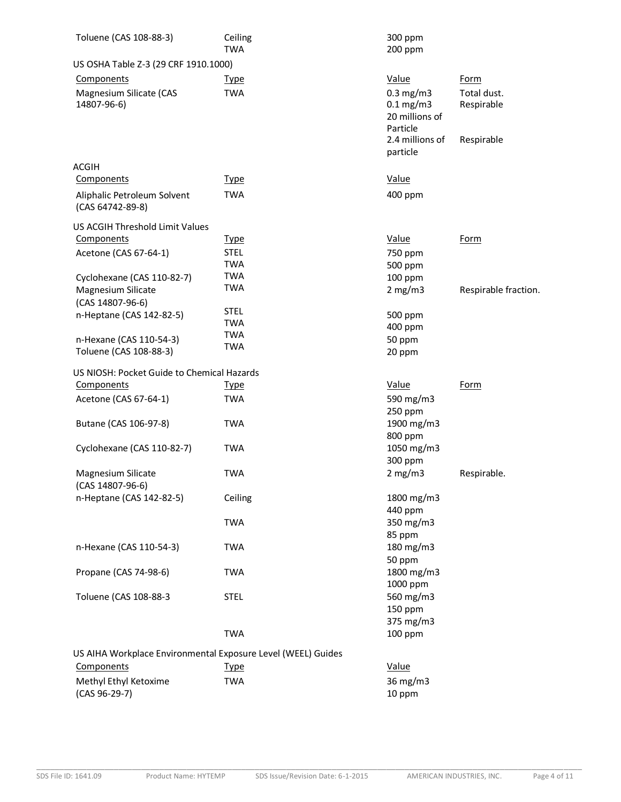| Toluene (CAS 108-88-3)                                       | Ceiling<br><b>TWA</b>    | 300 ppm<br>200 ppm                                          |                           |
|--------------------------------------------------------------|--------------------------|-------------------------------------------------------------|---------------------------|
| US OSHA Table Z-3 (29 CRF 1910.1000)                         |                          |                                                             |                           |
| Components                                                   | <u>Type</u>              | Value                                                       | Form                      |
| Magnesium Silicate (CAS<br>14807-96-6)                       | <b>TWA</b>               | $0.3$ mg/m $3$<br>$0.1$ mg/m3<br>20 millions of<br>Particle | Total dust.<br>Respirable |
|                                                              |                          | 2.4 millions of<br>particle                                 | Respirable                |
| ACGIH                                                        |                          |                                                             |                           |
| Components                                                   | <b>Type</b>              | Value                                                       |                           |
| Aliphalic Petroleum Solvent                                  | <b>TWA</b>               | 400 ppm                                                     |                           |
| (CAS 64742-89-8)                                             |                          |                                                             |                           |
| US ACGIH Threshold Limit Values                              |                          |                                                             |                           |
| Components                                                   | <u>Type</u>              | Value                                                       | <b>Form</b>               |
| Acetone (CAS 67-64-1)                                        | <b>STEL</b>              | 750 ppm                                                     |                           |
|                                                              | <b>TWA</b>               | 500 ppm                                                     |                           |
| Cyclohexane (CAS 110-82-7)                                   | <b>TWA</b>               | 100 ppm                                                     |                           |
| Magnesium Silicate                                           | <b>TWA</b>               | 2 mg/m3                                                     | Respirable fraction.      |
| (CAS 14807-96-6)                                             |                          |                                                             |                           |
| n-Heptane (CAS 142-82-5)                                     | <b>STEL</b>              | 500 ppm                                                     |                           |
|                                                              | <b>TWA</b>               | 400 ppm                                                     |                           |
| n-Hexane (CAS 110-54-3)                                      | <b>TWA</b><br><b>TWA</b> | 50 ppm                                                      |                           |
| Toluene (CAS 108-88-3)                                       |                          | 20 ppm                                                      |                           |
| US NIOSH: Pocket Guide to Chemical Hazards                   |                          |                                                             |                           |
| Components                                                   | <u>Type</u>              | Value                                                       | <b>Form</b>               |
|                                                              | <b>TWA</b>               | 590 mg/m3                                                   |                           |
| Acetone (CAS 67-64-1)                                        |                          | 250 ppm                                                     |                           |
| Butane (CAS 106-97-8)                                        | <b>TWA</b>               | 1900 mg/m3                                                  |                           |
|                                                              |                          | 800 ppm                                                     |                           |
| Cyclohexane (CAS 110-82-7)                                   | <b>TWA</b>               | 1050 mg/m3                                                  |                           |
|                                                              |                          | 300 ppm                                                     |                           |
| Magnesium Silicate                                           | <b>TWA</b>               | 2 mg/m3                                                     | Respirable.               |
| (CAS 14807-96-6)                                             |                          |                                                             |                           |
| n-Heptane (CAS 142-82-5)                                     | Ceiling                  | 1800 mg/m3                                                  |                           |
|                                                              |                          | 440 ppm                                                     |                           |
|                                                              | <b>TWA</b>               | 350 mg/m3                                                   |                           |
|                                                              |                          | 85 ppm                                                      |                           |
| n-Hexane (CAS 110-54-3)                                      | <b>TWA</b>               | 180 mg/m3                                                   |                           |
|                                                              |                          | 50 ppm                                                      |                           |
| Propane (CAS 74-98-6)                                        | <b>TWA</b>               | 1800 mg/m3                                                  |                           |
|                                                              |                          | 1000 ppm                                                    |                           |
| Toluene (CAS 108-88-3                                        | <b>STEL</b>              | 560 mg/m3                                                   |                           |
|                                                              |                          | 150 ppm                                                     |                           |
|                                                              |                          | 375 mg/m3                                                   |                           |
|                                                              | <b>TWA</b>               | 100 ppm                                                     |                           |
| US AIHA Workplace Environmental Exposure Level (WEEL) Guides |                          |                                                             |                           |
| Components                                                   | <b>Type</b>              | Value                                                       |                           |
|                                                              |                          |                                                             |                           |
| Methyl Ethyl Ketoxime<br>(CAS 96-29-7)                       | <b>TWA</b>               | 36 mg/m3<br>10 ppm                                          |                           |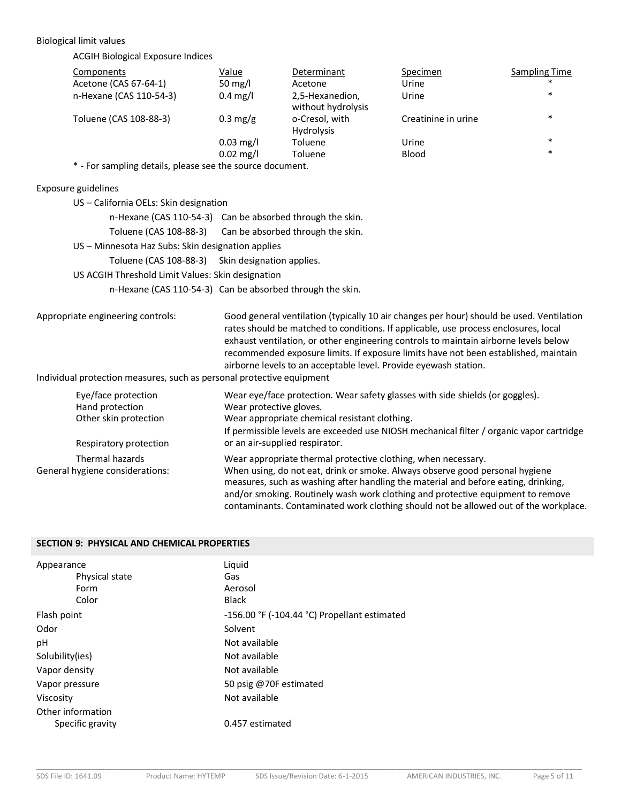#### Biological limit values

ACGIH Biological Exposure Indices

| Components              | Value               | Determinant                           | Specimen            | <b>Sampling Time</b> |
|-------------------------|---------------------|---------------------------------------|---------------------|----------------------|
| Acetone (CAS 67-64-1)   | 50 mg/l             | Acetone                               | Urine               | $\ast$               |
| n-Hexane (CAS 110-54-3) | $0.4 \text{ mg/l}$  | 2,5-Hexanedion,<br>without hydrolysis | Urine               | $\ast$               |
| Toluene (CAS 108-88-3)  | $0.3 \text{ mg/g}$  | o-Cresol, with<br><b>Hydrolysis</b>   | Creatinine in urine | $\ast$               |
|                         | $0.03 \text{ mg/l}$ | Toluene                               | Urine               | $\ast$               |
|                         | $0.02 \text{ mg/l}$ | Toluene                               | <b>Blood</b>        | $\ast$               |

\* - For sampling details, please see the source document.

#### Exposure guidelines

| US - California OELs: Skin designation            |                                                           |
|---------------------------------------------------|-----------------------------------------------------------|
|                                                   | n-Hexane (CAS 110-54-3) Can be absorbed through the skin. |
|                                                   | Toluene (CAS 108-88-3) Can be absorbed through the skin.  |
| US - Minnesota Haz Subs: Skin designation applies |                                                           |
|                                                   | Toluene (CAS 108-88-3) Skin designation applies.          |
| US ACGIH Threshold Limit Values: Skin designation |                                                           |
|                                                   | n-Hexane (CAS 110-54-3) Can be absorbed through the skin. |
|                                                   |                                                           |
| ariate engineering controle:                      | <u>Good general ventilation (tynically 10 :</u>           |

Appropriate engineering controls: Good general ventilation (typically 10 air changes per hour) should be used. Ventilation rates should be matched to conditions. If applicable, use process enclosures, local exhaust ventilation, or other engineering controls to maintain airborne levels below recommended exposure limits. If exposure limits have not been established, maintain airborne levels to an acceptable level. Provide eyewash station.

#### Individual protection measures, such as personal protective equipment

| Eye/face protection<br>Hand protection<br>Other skin protection<br>Respiratory protection | Wear eye/face protection. Wear safety glasses with side shields (or goggles).<br>Wear protective gloves.<br>Wear appropriate chemical resistant clothing.<br>If permissible levels are exceeded use NIOSH mechanical filter / organic vapor cartridge<br>or an air-supplied respirator.                                                                                                                        |
|-------------------------------------------------------------------------------------------|----------------------------------------------------------------------------------------------------------------------------------------------------------------------------------------------------------------------------------------------------------------------------------------------------------------------------------------------------------------------------------------------------------------|
| Thermal hazards<br>General hygiene considerations:                                        | Wear appropriate thermal protective clothing, when necessary.<br>When using, do not eat, drink or smoke. Always observe good personal hygiene<br>measures, such as washing after handling the material and before eating, drinking,<br>and/or smoking. Routinely wash work clothing and protective equipment to remove<br>contaminants. Contaminated work clothing should not be allowed out of the workplace. |

## **SECTION 9: PHYSICAL AND CHEMICAL PROPERTIES**

| Appearance        | Liquid                                            |
|-------------------|---------------------------------------------------|
| Physical state    | Gas                                               |
| Form              | Aerosol                                           |
| Color             | <b>Black</b>                                      |
| Flash point       | $-156.00$ °F ( $-104.44$ °C) Propellant estimated |
| Odor              | Solvent                                           |
| рH                | Not available                                     |
| Solubility(ies)   | Not available                                     |
| Vapor density     | Not available                                     |
| Vapor pressure    | 50 psig @70F estimated                            |
| Viscosity         | Not available                                     |
| Other information |                                                   |
| Specific gravity  | 0.457 estimated                                   |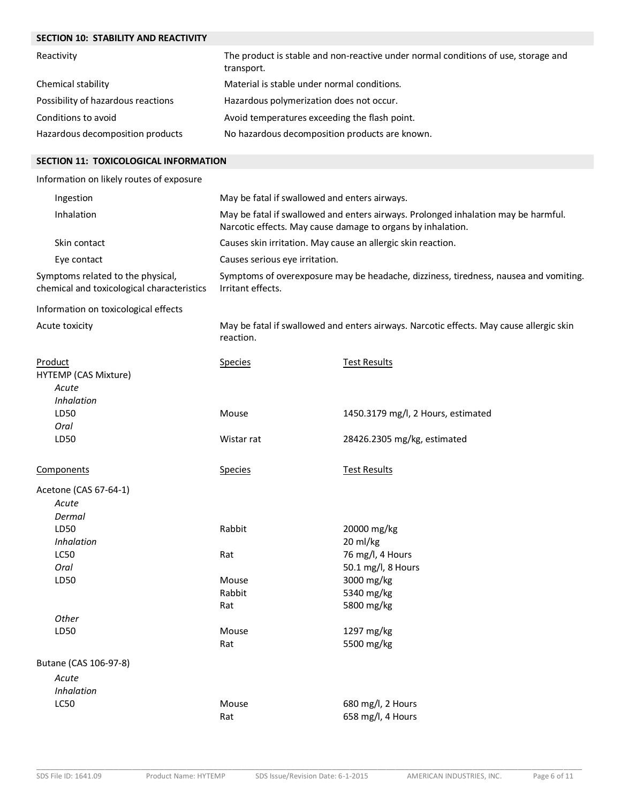| The product is stable and non-reactive under normal conditions of use, storage and<br>transport.<br>Material is stable under normal conditions.<br>Hazardous polymerization does not occur.<br>Avoid temperatures exceeding the flash point.<br>No hazardous decomposition products are known.<br>SECTION 11: TOXICOLOGICAL INFORMATION<br>Information on likely routes of exposure<br>May be fatal if swallowed and enters airways.<br>Ingestion<br>Inhalation<br>May be fatal if swallowed and enters airways. Prolonged inhalation may be harmful.<br>Narcotic effects. May cause damage to organs by inhalation.<br>Skin contact<br>Causes skin irritation. May cause an allergic skin reaction.<br>Eye contact<br>Causes serious eye irritation.<br>Symptoms of overexposure may be headache, dizziness, tiredness, nausea and vomiting.<br>Irritant effects.<br>May be fatal if swallowed and enters airways. Narcotic effects. May cause allergic skin<br>reaction.<br><b>Test Results</b><br><b>Species</b><br>Acute<br>Inhalation<br>LD50<br>Mouse<br>1450.3179 mg/l, 2 Hours, estimated<br>Oral<br>LD50<br>28426.2305 mg/kg, estimated<br>Wistar rat<br><b>Test Results</b><br><b>Species</b><br>Acute<br>Dermal<br>Rabbit<br>LD50<br>20000 mg/kg<br>20 ml/kg<br><b>Inhalation</b><br>76 mg/l, 4 Hours<br>LC50<br>Rat<br>50.1 mg/l, 8 Hours<br>Oral<br>3000 mg/kg<br>LD50<br>Mouse<br>Rabbit<br>5340 mg/kg<br>5800 mg/kg<br>Rat<br>Other<br>LD50<br>Mouse<br>1297 mg/kg<br>5500 mg/kg<br>Rat<br>Butane (CAS 106-97-8)<br>Acute<br>Inhalation<br><b>LC50</b><br>Mouse<br>680 mg/l, 2 Hours<br>658 mg/l, 4 Hours<br>Rat | <b>SECTION 10: STABILITY AND REACTIVITY</b>                                     |  |  |  |  |
|---------------------------------------------------------------------------------------------------------------------------------------------------------------------------------------------------------------------------------------------------------------------------------------------------------------------------------------------------------------------------------------------------------------------------------------------------------------------------------------------------------------------------------------------------------------------------------------------------------------------------------------------------------------------------------------------------------------------------------------------------------------------------------------------------------------------------------------------------------------------------------------------------------------------------------------------------------------------------------------------------------------------------------------------------------------------------------------------------------------------------------------------------------------------------------------------------------------------------------------------------------------------------------------------------------------------------------------------------------------------------------------------------------------------------------------------------------------------------------------------------------------------------------------------------------------------------------------------------------------------------------|---------------------------------------------------------------------------------|--|--|--|--|
|                                                                                                                                                                                                                                                                                                                                                                                                                                                                                                                                                                                                                                                                                                                                                                                                                                                                                                                                                                                                                                                                                                                                                                                                                                                                                                                                                                                                                                                                                                                                                                                                                                 | Reactivity                                                                      |  |  |  |  |
|                                                                                                                                                                                                                                                                                                                                                                                                                                                                                                                                                                                                                                                                                                                                                                                                                                                                                                                                                                                                                                                                                                                                                                                                                                                                                                                                                                                                                                                                                                                                                                                                                                 | Chemical stability                                                              |  |  |  |  |
|                                                                                                                                                                                                                                                                                                                                                                                                                                                                                                                                                                                                                                                                                                                                                                                                                                                                                                                                                                                                                                                                                                                                                                                                                                                                                                                                                                                                                                                                                                                                                                                                                                 | Possibility of hazardous reactions                                              |  |  |  |  |
|                                                                                                                                                                                                                                                                                                                                                                                                                                                                                                                                                                                                                                                                                                                                                                                                                                                                                                                                                                                                                                                                                                                                                                                                                                                                                                                                                                                                                                                                                                                                                                                                                                 | Conditions to avoid                                                             |  |  |  |  |
|                                                                                                                                                                                                                                                                                                                                                                                                                                                                                                                                                                                                                                                                                                                                                                                                                                                                                                                                                                                                                                                                                                                                                                                                                                                                                                                                                                                                                                                                                                                                                                                                                                 | Hazardous decomposition products                                                |  |  |  |  |
|                                                                                                                                                                                                                                                                                                                                                                                                                                                                                                                                                                                                                                                                                                                                                                                                                                                                                                                                                                                                                                                                                                                                                                                                                                                                                                                                                                                                                                                                                                                                                                                                                                 |                                                                                 |  |  |  |  |
|                                                                                                                                                                                                                                                                                                                                                                                                                                                                                                                                                                                                                                                                                                                                                                                                                                                                                                                                                                                                                                                                                                                                                                                                                                                                                                                                                                                                                                                                                                                                                                                                                                 |                                                                                 |  |  |  |  |
|                                                                                                                                                                                                                                                                                                                                                                                                                                                                                                                                                                                                                                                                                                                                                                                                                                                                                                                                                                                                                                                                                                                                                                                                                                                                                                                                                                                                                                                                                                                                                                                                                                 |                                                                                 |  |  |  |  |
|                                                                                                                                                                                                                                                                                                                                                                                                                                                                                                                                                                                                                                                                                                                                                                                                                                                                                                                                                                                                                                                                                                                                                                                                                                                                                                                                                                                                                                                                                                                                                                                                                                 |                                                                                 |  |  |  |  |
|                                                                                                                                                                                                                                                                                                                                                                                                                                                                                                                                                                                                                                                                                                                                                                                                                                                                                                                                                                                                                                                                                                                                                                                                                                                                                                                                                                                                                                                                                                                                                                                                                                 |                                                                                 |  |  |  |  |
|                                                                                                                                                                                                                                                                                                                                                                                                                                                                                                                                                                                                                                                                                                                                                                                                                                                                                                                                                                                                                                                                                                                                                                                                                                                                                                                                                                                                                                                                                                                                                                                                                                 |                                                                                 |  |  |  |  |
|                                                                                                                                                                                                                                                                                                                                                                                                                                                                                                                                                                                                                                                                                                                                                                                                                                                                                                                                                                                                                                                                                                                                                                                                                                                                                                                                                                                                                                                                                                                                                                                                                                 |                                                                                 |  |  |  |  |
|                                                                                                                                                                                                                                                                                                                                                                                                                                                                                                                                                                                                                                                                                                                                                                                                                                                                                                                                                                                                                                                                                                                                                                                                                                                                                                                                                                                                                                                                                                                                                                                                                                 | Symptoms related to the physical,<br>chemical and toxicological characteristics |  |  |  |  |
|                                                                                                                                                                                                                                                                                                                                                                                                                                                                                                                                                                                                                                                                                                                                                                                                                                                                                                                                                                                                                                                                                                                                                                                                                                                                                                                                                                                                                                                                                                                                                                                                                                 | Information on toxicological effects                                            |  |  |  |  |
|                                                                                                                                                                                                                                                                                                                                                                                                                                                                                                                                                                                                                                                                                                                                                                                                                                                                                                                                                                                                                                                                                                                                                                                                                                                                                                                                                                                                                                                                                                                                                                                                                                 | Acute toxicity                                                                  |  |  |  |  |
|                                                                                                                                                                                                                                                                                                                                                                                                                                                                                                                                                                                                                                                                                                                                                                                                                                                                                                                                                                                                                                                                                                                                                                                                                                                                                                                                                                                                                                                                                                                                                                                                                                 | Product<br>HYTEMP (CAS Mixture)                                                 |  |  |  |  |
|                                                                                                                                                                                                                                                                                                                                                                                                                                                                                                                                                                                                                                                                                                                                                                                                                                                                                                                                                                                                                                                                                                                                                                                                                                                                                                                                                                                                                                                                                                                                                                                                                                 |                                                                                 |  |  |  |  |
|                                                                                                                                                                                                                                                                                                                                                                                                                                                                                                                                                                                                                                                                                                                                                                                                                                                                                                                                                                                                                                                                                                                                                                                                                                                                                                                                                                                                                                                                                                                                                                                                                                 |                                                                                 |  |  |  |  |
|                                                                                                                                                                                                                                                                                                                                                                                                                                                                                                                                                                                                                                                                                                                                                                                                                                                                                                                                                                                                                                                                                                                                                                                                                                                                                                                                                                                                                                                                                                                                                                                                                                 | Components                                                                      |  |  |  |  |
|                                                                                                                                                                                                                                                                                                                                                                                                                                                                                                                                                                                                                                                                                                                                                                                                                                                                                                                                                                                                                                                                                                                                                                                                                                                                                                                                                                                                                                                                                                                                                                                                                                 | Acetone (CAS 67-64-1)                                                           |  |  |  |  |
|                                                                                                                                                                                                                                                                                                                                                                                                                                                                                                                                                                                                                                                                                                                                                                                                                                                                                                                                                                                                                                                                                                                                                                                                                                                                                                                                                                                                                                                                                                                                                                                                                                 |                                                                                 |  |  |  |  |
|                                                                                                                                                                                                                                                                                                                                                                                                                                                                                                                                                                                                                                                                                                                                                                                                                                                                                                                                                                                                                                                                                                                                                                                                                                                                                                                                                                                                                                                                                                                                                                                                                                 |                                                                                 |  |  |  |  |
|                                                                                                                                                                                                                                                                                                                                                                                                                                                                                                                                                                                                                                                                                                                                                                                                                                                                                                                                                                                                                                                                                                                                                                                                                                                                                                                                                                                                                                                                                                                                                                                                                                 |                                                                                 |  |  |  |  |
|                                                                                                                                                                                                                                                                                                                                                                                                                                                                                                                                                                                                                                                                                                                                                                                                                                                                                                                                                                                                                                                                                                                                                                                                                                                                                                                                                                                                                                                                                                                                                                                                                                 |                                                                                 |  |  |  |  |
|                                                                                                                                                                                                                                                                                                                                                                                                                                                                                                                                                                                                                                                                                                                                                                                                                                                                                                                                                                                                                                                                                                                                                                                                                                                                                                                                                                                                                                                                                                                                                                                                                                 |                                                                                 |  |  |  |  |
|                                                                                                                                                                                                                                                                                                                                                                                                                                                                                                                                                                                                                                                                                                                                                                                                                                                                                                                                                                                                                                                                                                                                                                                                                                                                                                                                                                                                                                                                                                                                                                                                                                 |                                                                                 |  |  |  |  |
|                                                                                                                                                                                                                                                                                                                                                                                                                                                                                                                                                                                                                                                                                                                                                                                                                                                                                                                                                                                                                                                                                                                                                                                                                                                                                                                                                                                                                                                                                                                                                                                                                                 |                                                                                 |  |  |  |  |
|                                                                                                                                                                                                                                                                                                                                                                                                                                                                                                                                                                                                                                                                                                                                                                                                                                                                                                                                                                                                                                                                                                                                                                                                                                                                                                                                                                                                                                                                                                                                                                                                                                 |                                                                                 |  |  |  |  |
|                                                                                                                                                                                                                                                                                                                                                                                                                                                                                                                                                                                                                                                                                                                                                                                                                                                                                                                                                                                                                                                                                                                                                                                                                                                                                                                                                                                                                                                                                                                                                                                                                                 |                                                                                 |  |  |  |  |
|                                                                                                                                                                                                                                                                                                                                                                                                                                                                                                                                                                                                                                                                                                                                                                                                                                                                                                                                                                                                                                                                                                                                                                                                                                                                                                                                                                                                                                                                                                                                                                                                                                 |                                                                                 |  |  |  |  |
|                                                                                                                                                                                                                                                                                                                                                                                                                                                                                                                                                                                                                                                                                                                                                                                                                                                                                                                                                                                                                                                                                                                                                                                                                                                                                                                                                                                                                                                                                                                                                                                                                                 |                                                                                 |  |  |  |  |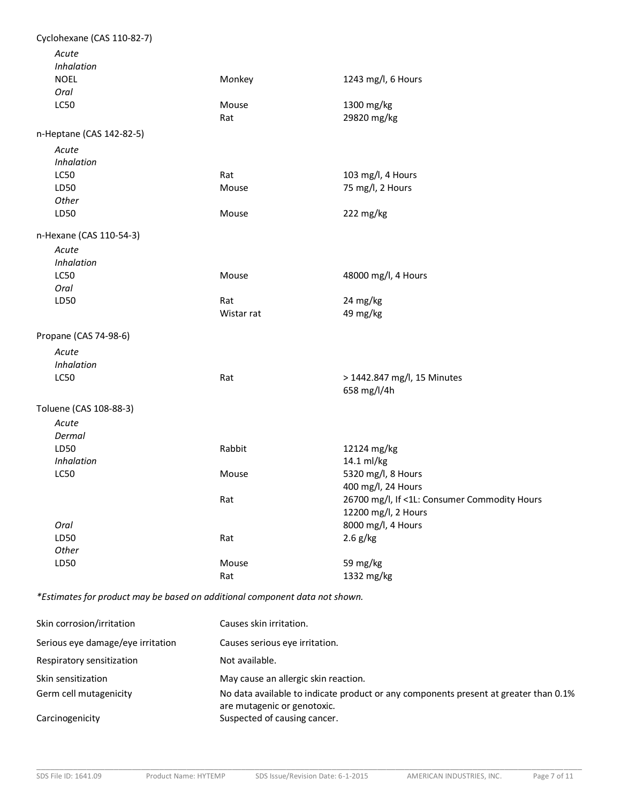| Cyclohexane (CAS 110-82-7) |            |                                              |
|----------------------------|------------|----------------------------------------------|
| Acute                      |            |                                              |
| Inhalation                 |            |                                              |
| <b>NOEL</b>                | Monkey     | 1243 mg/l, 6 Hours                           |
| Oral                       |            |                                              |
| LC50                       | Mouse      | 1300 mg/kg                                   |
|                            | Rat        | 29820 mg/kg                                  |
| n-Heptane (CAS 142-82-5)   |            |                                              |
| Acute                      |            |                                              |
| Inhalation                 |            |                                              |
| LC50                       | Rat        | 103 mg/l, 4 Hours                            |
| LD50                       | Mouse      | 75 mg/l, 2 Hours                             |
| Other                      |            |                                              |
| LD50                       | Mouse      | 222 mg/kg                                    |
| n-Hexane (CAS 110-54-3)    |            |                                              |
| Acute                      |            |                                              |
| Inhalation                 |            |                                              |
| <b>LC50</b>                | Mouse      | 48000 mg/l, 4 Hours                          |
| Oral                       |            |                                              |
| LD50                       | Rat        | 24 mg/kg                                     |
|                            | Wistar rat | 49 mg/kg                                     |
| Propane (CAS 74-98-6)      |            |                                              |
| Acute                      |            |                                              |
| Inhalation                 |            |                                              |
| <b>LC50</b>                | Rat        | > 1442.847 mg/l, 15 Minutes                  |
|                            |            | 658 mg/l/4h                                  |
|                            |            |                                              |
| Toluene (CAS 108-88-3)     |            |                                              |
| Acute                      |            |                                              |
| Dermal                     |            |                                              |
| LD50                       | Rabbit     | 12124 mg/kg                                  |
| Inhalation                 |            | 14.1 ml/kg                                   |
| <b>LC50</b>                | Mouse      | 5320 mg/l, 8 Hours                           |
|                            |            | 400 mg/l, 24 Hours                           |
|                            | Rat        | 26700 mg/l, If <1L: Consumer Commodity Hours |
|                            |            | 12200 mg/l, 2 Hours                          |
| Oral                       |            | 8000 mg/l, 4 Hours                           |
| LD50                       | Rat        | $2.6$ g/kg                                   |
| Other                      |            |                                              |
| LD50                       | Mouse      | 59 mg/kg                                     |
|                            | Rat        | 1332 mg/kg                                   |
|                            |            |                                              |

*\*Estimates for product may be based on additional component data not shown.*

| Skin corrosion/irritation         | Causes skin irritation.                                                                                             |
|-----------------------------------|---------------------------------------------------------------------------------------------------------------------|
| Serious eye damage/eye irritation | Causes serious eve irritation.                                                                                      |
| Respiratory sensitization         | Not available.                                                                                                      |
| Skin sensitization                | May cause an allergic skin reaction.                                                                                |
| Germ cell mutagenicity            | No data available to indicate product or any components present at greater than 0.1%<br>are mutagenic or genotoxic. |
| Carcinogenicity                   | Suspected of causing cancer.                                                                                        |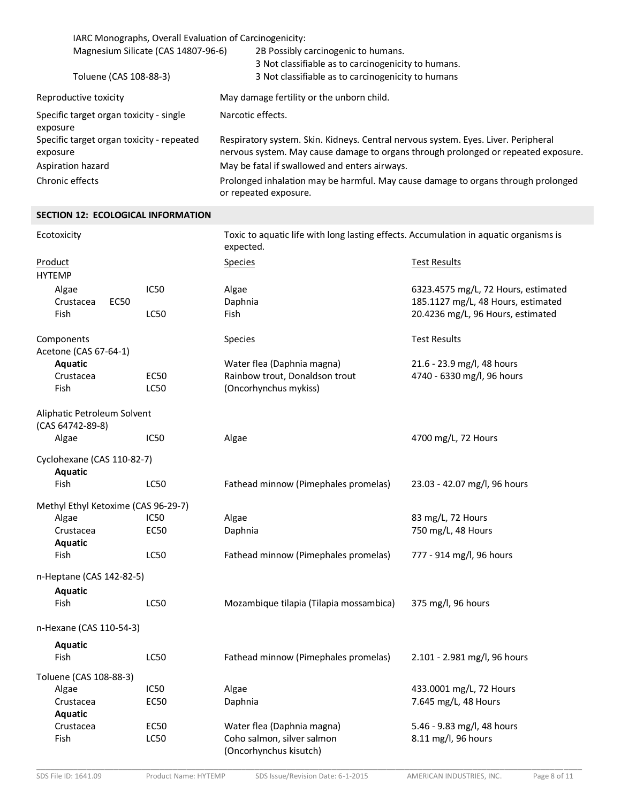| IARC Monographs, Overall Evaluation of Carcinogenicity: |                                                                                                                                                                          |  |
|---------------------------------------------------------|--------------------------------------------------------------------------------------------------------------------------------------------------------------------------|--|
| Magnesium Silicate (CAS 14807-96-6)                     | 2B Possibly carcinogenic to humans.                                                                                                                                      |  |
|                                                         | 3 Not classifiable as to carcinogenicity to humans.                                                                                                                      |  |
| Toluene (CAS 108-88-3)                                  | 3 Not classifiable as to carcinogenicity to humans                                                                                                                       |  |
| Reproductive toxicity                                   | May damage fertility or the unborn child.                                                                                                                                |  |
| Specific target organ toxicity - single<br>exposure     | Narcotic effects.                                                                                                                                                        |  |
| Specific target organ toxicity - repeated<br>exposure   | Respiratory system. Skin. Kidneys. Central nervous system. Eyes. Liver. Peripheral<br>nervous system. May cause damage to organs through prolonged or repeated exposure. |  |
| Aspiration hazard                                       | May be fatal if swallowed and enters airways.                                                                                                                            |  |
| Chronic effects                                         | Prolonged inhalation may be harmful. May cause damage to organs through prolonged<br>or repeated exposure.                                                               |  |

## **SECTION 12: ECOLOGICAL INFORMATION**

| Ecotoxicity                                     |                     | Toxic to aquatic life with long lasting effects. Accumulation in aquatic organisms is<br>expected. |                                                                           |
|-------------------------------------------------|---------------------|----------------------------------------------------------------------------------------------------|---------------------------------------------------------------------------|
| Product<br><b>HYTEMP</b>                        |                     | <b>Species</b>                                                                                     | <b>Test Results</b>                                                       |
| Algae<br>Crustacea<br><b>EC50</b>               | IC50                | Algae<br>Daphnia                                                                                   | 6323.4575 mg/L, 72 Hours, estimated<br>185.1127 mg/L, 48 Hours, estimated |
| Fish                                            | LC50                | <b>Fish</b>                                                                                        | 20.4236 mg/L, 96 Hours, estimated                                         |
| Components<br>Acetone (CAS 67-64-1)             |                     | Species                                                                                            | <b>Test Results</b>                                                       |
| Aquatic                                         |                     | Water flea (Daphnia magna)                                                                         | 21.6 - 23.9 mg/l, 48 hours                                                |
| Crustacea<br>Fish                               | <b>EC50</b><br>LC50 | Rainbow trout, Donaldson trout<br>(Oncorhynchus mykiss)                                            | 4740 - 6330 mg/l, 96 hours                                                |
| Aliphatic Petroleum Solvent<br>(CAS 64742-89-8) |                     |                                                                                                    |                                                                           |
| Algae                                           | IC50                | Algae                                                                                              | 4700 mg/L, 72 Hours                                                       |
| Cyclohexane (CAS 110-82-7)<br>Aquatic           |                     |                                                                                                    |                                                                           |
| Fish                                            | <b>LC50</b>         | Fathead minnow (Pimephales promelas)                                                               | 23.03 - 42.07 mg/l, 96 hours                                              |
| Methyl Ethyl Ketoxime (CAS 96-29-7)             |                     |                                                                                                    |                                                                           |
| Algae                                           | IC50                | Algae                                                                                              | 83 mg/L, 72 Hours                                                         |
| Crustacea                                       | EC50                | Daphnia                                                                                            | 750 mg/L, 48 Hours                                                        |
| Aquatic                                         |                     |                                                                                                    |                                                                           |
| Fish                                            | <b>LC50</b>         | Fathead minnow (Pimephales promelas)                                                               | 777 - 914 mg/l, 96 hours                                                  |
| n-Heptane (CAS 142-82-5)                        |                     |                                                                                                    |                                                                           |
| Aquatic<br>Fish                                 | <b>LC50</b>         | Mozambique tilapia (Tilapia mossambica)                                                            | 375 mg/l, 96 hours                                                        |
| n-Hexane (CAS 110-54-3)                         |                     |                                                                                                    |                                                                           |
| <b>Aquatic</b>                                  |                     |                                                                                                    |                                                                           |
| Fish                                            | LC50                | Fathead minnow (Pimephales promelas)                                                               | 2.101 - 2.981 mg/l, 96 hours                                              |
| Toluene (CAS 108-88-3)                          |                     |                                                                                                    |                                                                           |
| Algae                                           | IC50                | Algae                                                                                              | 433.0001 mg/L, 72 Hours                                                   |
| Crustacea<br>Aquatic                            | <b>EC50</b>         | Daphnia                                                                                            | 7.645 mg/L, 48 Hours                                                      |
| Crustacea                                       | <b>EC50</b>         | Water flea (Daphnia magna)                                                                         | 5.46 - 9.83 mg/l, 48 hours                                                |
| Fish                                            | <b>LC50</b>         | Coho salmon, silver salmon<br>(Oncorhynchus kisutch)                                               | 8.11 mg/l, 96 hours                                                       |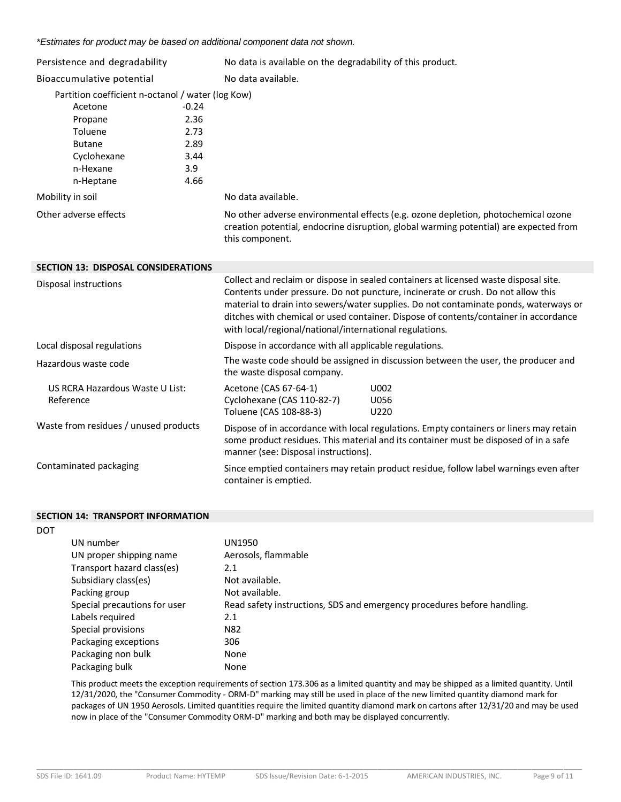*\*Estimates for product may be based on additional component data not shown.*

| Persistence and degradability                                                    |         | No data is available on the degradability of this product.                                                                                                                                                                                                                                                                                               |  |
|----------------------------------------------------------------------------------|---------|----------------------------------------------------------------------------------------------------------------------------------------------------------------------------------------------------------------------------------------------------------------------------------------------------------------------------------------------------------|--|
| Bioaccumulative potential                                                        |         | No data available.                                                                                                                                                                                                                                                                                                                                       |  |
| Partition coefficient n-octanol / water (log Kow)                                |         |                                                                                                                                                                                                                                                                                                                                                          |  |
| Acetone                                                                          | $-0.24$ |                                                                                                                                                                                                                                                                                                                                                          |  |
| Propane                                                                          | 2.36    |                                                                                                                                                                                                                                                                                                                                                          |  |
| Toluene                                                                          | 2.73    |                                                                                                                                                                                                                                                                                                                                                          |  |
| <b>Butane</b>                                                                    | 2.89    |                                                                                                                                                                                                                                                                                                                                                          |  |
| Cyclohexane                                                                      | 3.44    |                                                                                                                                                                                                                                                                                                                                                          |  |
| n-Hexane                                                                         | 3.9     |                                                                                                                                                                                                                                                                                                                                                          |  |
| n-Heptane                                                                        | 4.66    |                                                                                                                                                                                                                                                                                                                                                          |  |
| Mobility in soil                                                                 |         | No data available.                                                                                                                                                                                                                                                                                                                                       |  |
| Other adverse effects                                                            |         | No other adverse environmental effects (e.g. ozone depletion, photochemical ozone<br>creation potential, endocrine disruption, global warming potential) are expected from<br>this component.                                                                                                                                                            |  |
| <b>SECTION 13: DISPOSAL CONSIDERATIONS</b>                                       |         |                                                                                                                                                                                                                                                                                                                                                          |  |
| Disposal instructions<br>with local/regional/national/international regulations. |         | Collect and reclaim or dispose in sealed containers at licensed waste disposal site.<br>Contents under pressure. Do not puncture, incinerate or crush. Do not allow this<br>material to drain into sewers/water supplies. Do not contaminate ponds, waterways or<br>ditches with chemical or used container. Dispose of contents/container in accordance |  |
| Local disposal regulations                                                       |         | Dispose in accordance with all applicable regulations.                                                                                                                                                                                                                                                                                                   |  |
| Hazardous waste code                                                             |         | The waste code should be assigned in discussion between the user, the producer and<br>the waste disposal company.                                                                                                                                                                                                                                        |  |
| US RCRA Hazardous Waste U List:<br>Reference                                     |         | Acetone (CAS 67-64-1)<br>U002<br>Cyclohexane (CAS 110-82-7)<br>U056<br>Toluene (CAS 108-88-3)<br>U220                                                                                                                                                                                                                                                    |  |
| Waste from residues / unused products                                            |         | Dispose of in accordance with local regulations. Empty containers or liners may retain<br>some product residues. This material and its container must be disposed of in a safe<br>manner (see: Disposal instructions).                                                                                                                                   |  |
| Contaminated packaging                                                           |         | Since emptied containers may retain product residue, follow label warnings even after<br>container is emptied.                                                                                                                                                                                                                                           |  |

#### **SECTION 14: TRANSPORT INFORMATION**

| <b>SECTION 14: TRANSPORT INFORMATION</b> |                                                                         |
|------------------------------------------|-------------------------------------------------------------------------|
| <b>DOT</b>                               |                                                                         |
| UN number                                | UN1950                                                                  |
| UN proper shipping name                  | Aerosols, flammable                                                     |
| Transport hazard class(es)               | 2.1                                                                     |
| Subsidiary class(es)                     | Not available.                                                          |
| Packing group                            | Not available.                                                          |
| Special precautions for user             | Read safety instructions, SDS and emergency procedures before handling. |
| Labels required                          | 2.1                                                                     |
| Special provisions                       | N82                                                                     |
| Packaging exceptions                     | 306                                                                     |
| Packaging non bulk                       | None                                                                    |
| Packaging bulk                           | None                                                                    |
|                                          |                                                                         |

This product meets the exception requirements of section 173.306 as a limited quantity and may be shipped as a limited quantity. Until 12/31/2020, the "Consumer Commodity - ORM-D" marking may still be used in place of the new limited quantity diamond mark for packages of UN 1950 Aerosols. Limited quantities require the limited quantity diamond mark on cartons after 12/31/20 and may be used now in place of the "Consumer Commodity ORM-D" marking and both may be displayed concurrently.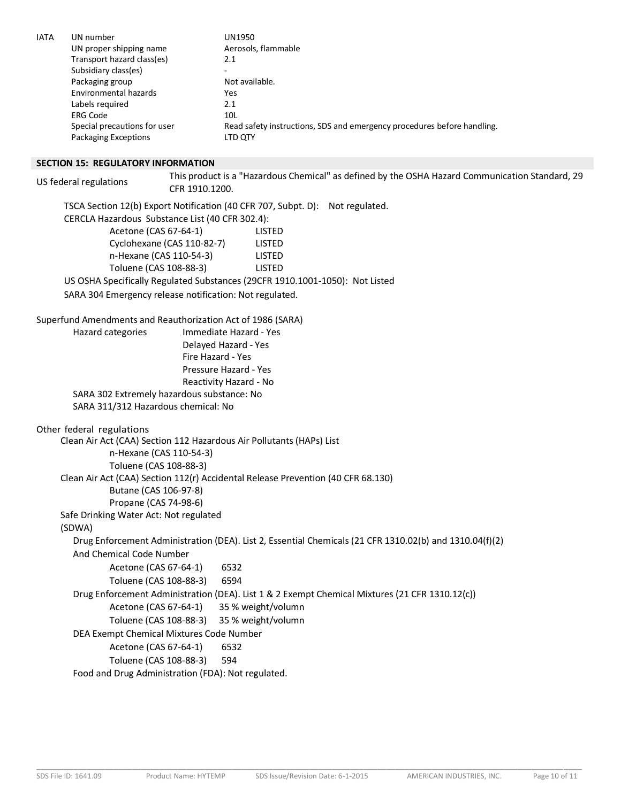| <b>IATA</b>             | UN number                                                                    | <b>UN1950</b>                                                                                   |  |  |
|-------------------------|------------------------------------------------------------------------------|-------------------------------------------------------------------------------------------------|--|--|
| UN proper shipping name |                                                                              | Aerosols, flammable                                                                             |  |  |
|                         | Transport hazard class(es)                                                   | 2.1                                                                                             |  |  |
|                         | Subsidiary class(es)                                                         |                                                                                                 |  |  |
|                         | Packaging group                                                              | Not available.                                                                                  |  |  |
|                         | Environmental hazards                                                        | <b>Yes</b>                                                                                      |  |  |
|                         | Labels required                                                              | 2.1                                                                                             |  |  |
|                         | <b>ERG Code</b>                                                              | 10 <sub>L</sub>                                                                                 |  |  |
|                         | Special precautions for user                                                 | Read safety instructions, SDS and emergency procedures before handling.                         |  |  |
|                         | Packaging Exceptions                                                         | LTD QTY                                                                                         |  |  |
|                         | <b>SECTION 15: REGULATORY INFORMATION</b>                                    |                                                                                                 |  |  |
|                         |                                                                              | This product is a "Hazardous Chemical" as defined by the OSHA Hazard Communication Standard, 29 |  |  |
|                         | US federal regulations                                                       | CFR 1910.1200.                                                                                  |  |  |
|                         |                                                                              | TSCA Section 12(b) Export Notification (40 CFR 707, Subpt. D): Not regulated.                   |  |  |
|                         |                                                                              | CERCLA Hazardous Substance List (40 CFR 302.4):                                                 |  |  |
|                         | Acetone (CAS 67-64-1)                                                        | <b>LISTED</b>                                                                                   |  |  |
|                         |                                                                              | Cyclohexane (CAS 110-82-7)<br>LISTED                                                            |  |  |
|                         | n-Hexane (CAS 110-54-3)                                                      | LISTED                                                                                          |  |  |
|                         | Toluene (CAS 108-88-3)                                                       | <b>LISTED</b>                                                                                   |  |  |
|                         | US OSHA Specifically Regulated Substances (29CFR 1910.1001-1050): Not Listed |                                                                                                 |  |  |
|                         |                                                                              | SARA 304 Emergency release notification: Not regulated.                                         |  |  |
|                         |                                                                              |                                                                                                 |  |  |
|                         |                                                                              | Superfund Amendments and Reauthorization Act of 1986 (SARA)                                     |  |  |
|                         | Hazard categories                                                            | Immediate Hazard - Yes                                                                          |  |  |
|                         |                                                                              | Delayed Hazard - Yes                                                                            |  |  |
|                         |                                                                              | Fire Hazard - Yes                                                                               |  |  |
|                         |                                                                              | Pressure Hazard - Yes                                                                           |  |  |
|                         |                                                                              | Reactivity Hazard - No                                                                          |  |  |
|                         |                                                                              | SARA 302 Extremely hazardous substance: No                                                      |  |  |
|                         | SARA 311/312 Hazardous chemical: No                                          |                                                                                                 |  |  |
|                         | Other federal regulations                                                    |                                                                                                 |  |  |
|                         |                                                                              | Clean Air Act (CAA) Section 112 Hazardous Air Pollutants (HAPs) List                            |  |  |
|                         |                                                                              |                                                                                                 |  |  |

Clean Air Act (CAA) Section 112 Hazardous Air Pollutants (HAPs) List n-Hexane (CAS 110-54-3) Toluene (CAS 108-88-3) Clean Air Act (CAA) Section 112(r) Accidental Release Prevention (40 CFR 68.130) Butane (CAS 106-97-8) Propane (CAS 74-98-6) Safe Drinking Water Act: Not regulated (SDWA) Drug Enforcement Administration (DEA). List 2, Essential Chemicals (21 CFR 1310.02(b) and 1310.04(f)(2) And Chemical Code Number Acetone (CAS 67-64-1) 6532 Toluene (CAS 108-88-3) 6594 Drug Enforcement Administration (DEA). List 1 & 2 Exempt Chemical Mixtures (21 CFR 1310.12(c)) Acetone (CAS 67-64-1) 35 % weight/volumn Toluene (CAS 108-88-3) 35 % weight/volumn DEA Exempt Chemical Mixtures Code Number Acetone (CAS 67-64-1) 6532 Toluene (CAS 108-88-3) 594 Food and Drug Administration (FDA): Not regulated.